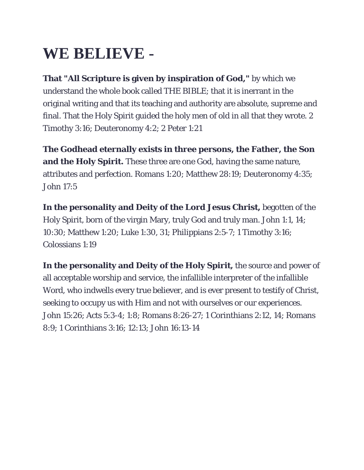## **WE BELIEVE -**

**That "All Scripture is given by inspiration of God,"** by which we understand the whole book called THE BIBLE; that it is inerrant in the original writing and that its teaching and authority are absolute, supreme and final. That the Holy Spirit guided the holy men of old in all that they wrote. 2 Timothy 3:16; Deuteronomy 4:2; 2 Peter 1:21

**The Godhead eternally exists in three persons, the Father, the Son and the Holy Spirit.** These three are one God, having the same nature, attributes and perfection. Romans 1:20; Matthew 28:19; Deuteronomy 4:35; John 17:5

**In the personality and Deity of the Lord Jesus Christ,** begotten of the Holy Spirit, born of the virgin Mary, truly God and truly man. John 1:1, 14; 10:30; Matthew 1:20; Luke 1:30, 31; Philippians 2:5-7; 1 Timothy 3:16; Colossians 1:19

**In the personality and Deity of the Holy Spirit,** the source and power of all acceptable worship and service, the infallible interpreter of the infallible Word, who indwells every true believer, and is ever present to testify of Christ, seeking to occupy us with Him and not with ourselves or our experiences. John 15:26; Acts 5:3-4; 1:8; Romans 8:26-27; 1 Corinthians 2:12, 14; Romans 8:9; 1 Corinthians 3:16; 12:13; John 16:13-14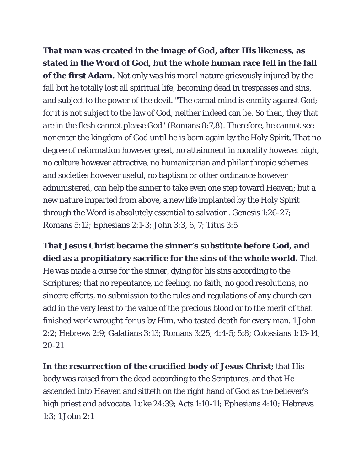**That man was created in the image of God, after His likeness, as stated in the Word of God, but the whole human race fell in the fall of the first Adam.** Not only was his moral nature grievously injured by the fall but he totally lost all spiritual life, becoming dead in trespasses and sins, and subject to the power of the devil. "The carnal mind is enmity against God; for it is not subject to the law of God, neither indeed can be. So then, they that are in the flesh cannot please God" (Romans 8:7,8). Therefore, he cannot see nor enter the kingdom of God until he is born again by the Holy Spirit. That no degree of reformation however great, no attainment in morality however high, no culture however attractive, no humanitarian and philanthropic schemes and societies however useful, no baptism or other ordinance however administered, can help the sinner to take even one step toward Heaven; but a new nature imparted from above, a new life implanted by the Holy Spirit through the Word is absolutely essential to salvation. Genesis 1:26-27; Romans 5:12; Ephesians 2:1-3; John 3:3, 6, 7; Titus 3:5

## **That Jesus Christ became the sinner's substitute before God, and died as a propitiatory sacrifice for the sins of the whole world.** That

He was made a curse for the sinner, dying for his sins according to the Scriptures; that no repentance, no feeling, no faith, no good resolutions, no sincere efforts, no submission to the rules and regulations of any church can add in the very least to the value of the precious blood or to the merit of that finished work wrought for us by Him, who tasted death for every man. 1 John 2:2; Hebrews 2:9; Galatians 3:13; Romans 3:25; 4:4-5; 5:8; Colossians 1:13-14, 20-21

**In the resurrection of the crucified body of Jesus Christ;** that His body was raised from the dead according to the Scriptures, and that He ascended into Heaven and sitteth on the right hand of God as the believer's high priest and advocate. Luke 24:39; Acts 1:10-11; Ephesians 4:10; Hebrews 1:3; 1 John 2:1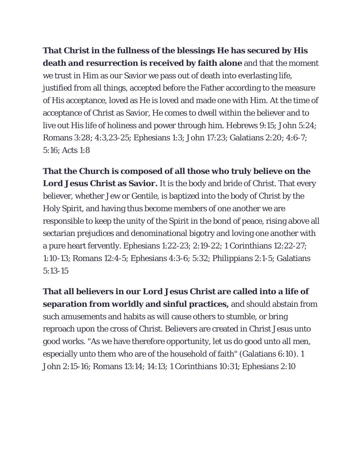**That Christ in the fullness of the blessings He has secured by His death and resurrection is received by faith alone** and that the moment we trust in Him as our Savior we pass out of death into everlasting life, justified from all things, accepted before the Father according to the measure of His acceptance, loved as He is loved and made one with Him. At the time of acceptance of Christ as Savior, He comes to dwell within the believer and to live out His life of holiness and power through him. Hebrews 9:15; John 5:24; Romans 3:28; 4:3,23-25; Ephesians 1:3; John 17:23; Galatians 2:20; 4:6-7; 5:16; Acts 1:8

**That the Church is composed of all those who truly believe on the Lord Jesus Christ as Savior.** It is the body and bride of Christ. That every believer, whether Jew or Gentile, is baptized into the body of Christ by the Holy Spirit, and having thus become members of one another we are responsible to keep the unity of the Spirit in the bond of peace, rising above all sectarian prejudices and denominational bigotry and loving one another with a pure heart fervently. Ephesians 1:22-23; 2:19-22; 1 Corinthians 12:22-27; 1:10-13; Romans 12:4-5; Ephesians 4:3-6; 5:32; Philippians 2:1-5; Galatians 5:13-15

**That all believers in our Lord Jesus Christ are called into a life of separation from worldly and sinful practices,** and should abstain from such amusements and habits as will cause others to stumble, or bring reproach upon the cross of Christ. Believers are created in Christ Jesus unto good works. "As we have therefore opportunity, let us do good unto all men, especially unto them who are of the household of faith" (Galatians 6:10). 1 John 2:15-16; Romans 13:14; 14:13; 1 Corinthians 10:31; Ephesians 2:10